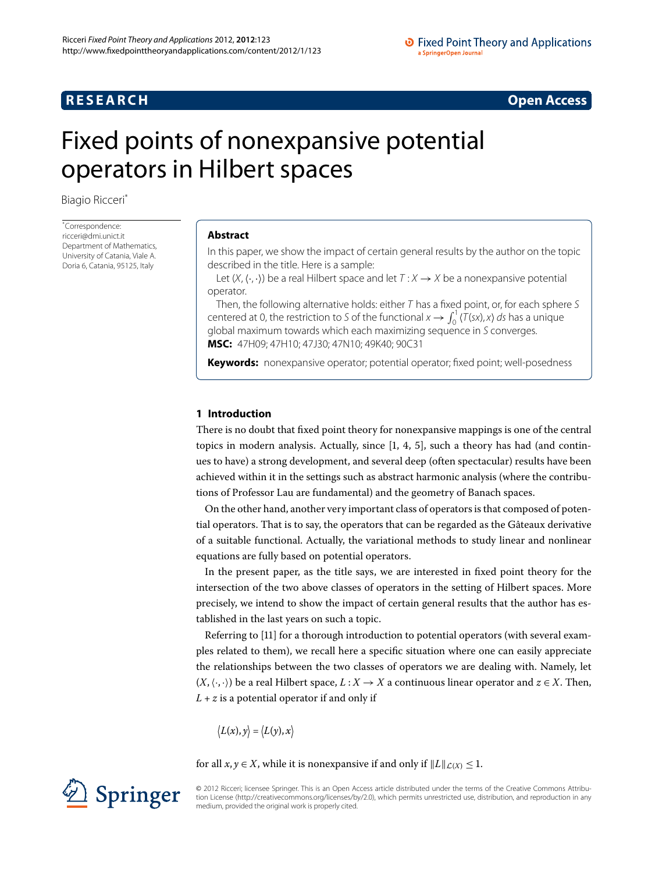# **R E S E A R C H Open Access**

# <span id="page-0-0"></span>Fixed points of nonexpansive potential operators in Hilbert spaces

Biagio Ricceri[\\*](#page-0-0)

\* Correspondence: [ricceri@dmi.unict.it](mailto:ricceri@dmi.unict.it) Department of Mathematics, University of Catania, Viale A. Doria 6, Catania, 95125, Italy

#### **Abstract**

In this paper, we show the impact of certain general results by the author on the topic described in the title. Here is a sample:

Let  $(X, \langle \cdot, \cdot \rangle)$  be a real Hilbert space and let  $T : X \rightarrow X$  be a nonexpansive potential operator.

Then, the following alternative holds: either  $T$  has a fixed point, or, for each sphere  $S$ centered at 0, the restriction to S of the functional  $x \to \int_0^1 \langle T(sx), x \rangle ds$  has a unique global maximum towards which each maximizing sequence in S converges. **MSC:** 47H09; 47H10; 47J30; 47N10; 49K40; 90C31

**Keywords:** nonexpansive operator; potential operator; fixed point; well-posedness

# **1 Introduction**

There is no doubt that fixed point theory for nonexpansive mappings is one of the central topics in modern analysis. Actually[,](#page-12-1) since  $[1, 4, 5]$ , such a theory has had (and continues to have) a strong development, and several deep (often spectacular) results have been achieved within it in the settings such as abstract harmonic analysis (where the contributions of Professor Lau are fundamental) and the geometry of Banach spaces.

On the other hand, another very important class of operators is that composed of potential operators. That is to say, the operators that can be regarded as the Gâteaux derivative of a suitable functional. Actually, the variational methods to study linear and nonlinear equations are fully based on potential operators.

In the present paper, as the title says, we are interested in fixed point theory for the intersection of the two above classes of operators in the setting of Hilbert spaces. More precisely, we intend to show the impact of certain general results that the author has established in the last years on such a topic.

Referring to [11] for a thorough introduction to potential operators (with several examples related to them), we recall here a specific situation where one can easily appreciate the relationships between the two classes of operators we are dealing with. Namely, let  $(X, \langle \cdot, \cdot \rangle)$  be a real Hilbert space,  $L : X \to X$  a continuous linear operator and  $z \in X$ . Then,  $L + z$  is a potential operator if and only if

$$
\big\langle L(x),y\big\rangle=\big\langle L(y),x\big\rangle
$$

for all *x*, *y*  $\in$  *X*, while it is nonexpansive if and only if  $||L||_{\mathcal{L}(X)} \leq 1$ .



© 2012 Ricceri; licensee Springer. This is an Open Access article distributed under the terms of the Creative Commons Attribution License ([http://creativecommons.org/licenses/by/2.0\)](http://creativecommons.org/licenses/by/2.0), which permits unrestricted use, distribution, and reproduction in any medium, provided the original work is properly cited.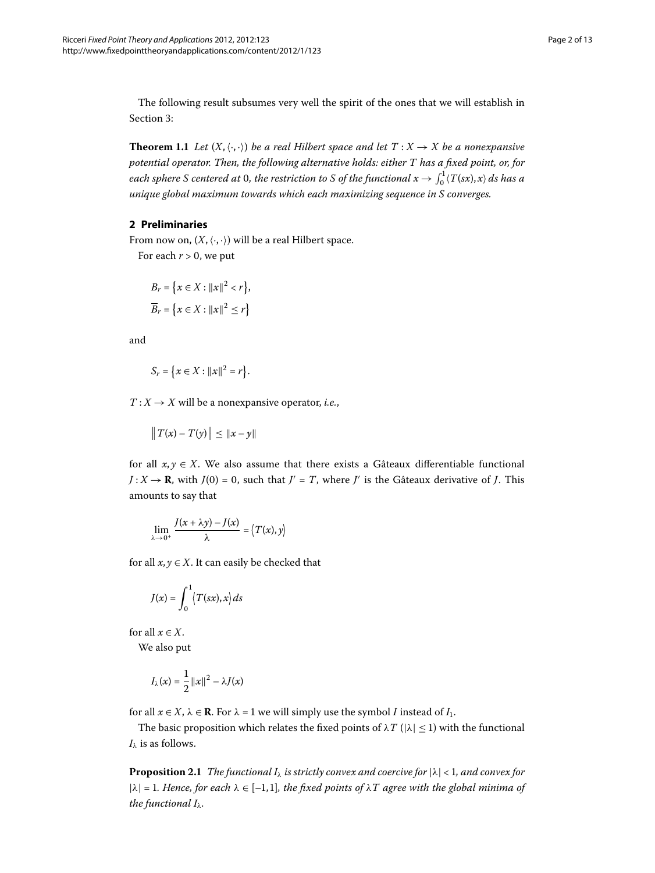<span id="page-1-1"></span>The following result subsumes very well the spirit of the ones that we will establish in Section 3:

**Theorem 1.1** Let  $(X, \langle \cdot, \cdot \rangle)$  be a real Hilbert space and let  $T : X \to X$  be a nonexpansive *potential operator. Then, the following alternative holds: either T has a fixed point, or, for* each sphere S centered at 0, the restriction to S of the functional  $x \to \int_0^1 \langle T(sx), x \rangle$  ds has a *unique global maximum towards which each maximizing sequence in S converges.*

# **2 Preliminaries**

From now on,  $(X, \langle \cdot, \cdot \rangle)$  will be a real Hilbert space.

For each  $r > 0$ , we put

$$
B_r = \{x \in X : ||x||^2 < r\},\
$$
  

$$
\overline{B}_r = \{x \in X : ||x||^2 \le r\}
$$

and

$$
S_r = \{x \in X : ||x||^2 = r\}.
$$

 $T: X \rightarrow X$  will be a nonexpansive operator, *i.e.*,

 $\|T(x) - T(y)\| \leq \|x - y\|$ 

for all  $x, y \in X$ . We also assume that there exists a Gâteaux differentiable functional  $J: X \rightarrow \mathbf{R}$ , with  $J(0) = 0$ , such that  $J' = T$ , where  $J'$  is the Gâteaux derivative of *J*. This amounts to say that

$$
\lim_{\lambda \to 0^+} \frac{J(x + \lambda y) - J(x)}{\lambda} = \langle T(x), y \rangle
$$

for all  $x, y \in X$ . It can easily be checked that

$$
J(x) = \int_0^1 \langle T(sx), x \rangle ds
$$

for all  $x \in X$ .

We also put

<span id="page-1-0"></span>
$$
I_{\lambda}(x) = \frac{1}{2} ||x||^2 - \lambda J(x)
$$

for all  $x \in X$ ,  $\lambda \in \mathbb{R}$ . For  $\lambda = 1$  we will simply use the symbol *I* instead of  $I_1$ .

The basic proposition which relates the fixed points of  $\lambda T$  ( $|\lambda| \leq 1$ ) with the functional  $I_\lambda$  is as follows.

**Proposition 2.1** *The functional I<sub>* $lambda$ *</sub> is strictly convex and coercive for*  $|\lambda| < 1$ *, and convex for*  $|\lambda| = 1$ . Hence, for each  $\lambda \in [-1, 1]$ , the fixed points of  $\lambda T$  agree with the global minima of *the functional Iλ.*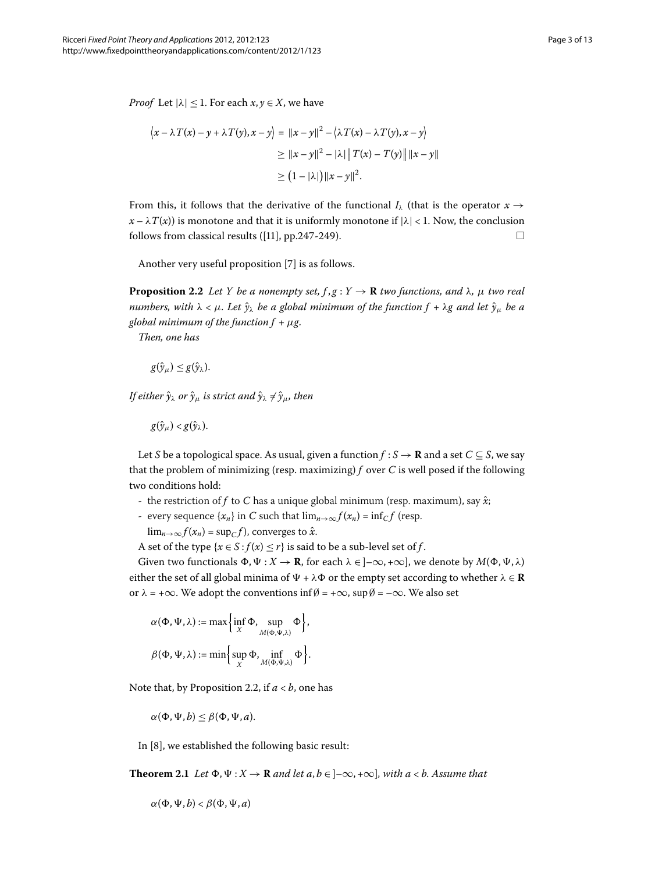*Proof* Let  $|\lambda| \leq 1$ . For each  $x, y \in X$ , we have

$$
\langle x - \lambda T(x) - y + \lambda T(y), x - y \rangle = ||x - y||^2 - \langle \lambda T(x) - \lambda T(y), x - y \rangle
$$
  
\n
$$
\ge ||x - y||^2 - |\lambda| ||T(x) - T(y)|| ||x - y||
$$
  
\n
$$
\ge (1 - |\lambda|) ||x - y||^2.
$$

<span id="page-2-0"></span>From this, it follows that the derivative of the functional  $I_\lambda$  (that is the operator  $x \rightarrow$  $x - \lambda T(x)$  is monotone and that it is uniformly monotone if  $|\lambda| < 1$ . Now, the conclusion follows from classical results ([\[](#page-12-3)11], pp.247-249).  $\Box$ 

Another very useful proposition [7[\]](#page-12-4) is as follows.

**Proposition 2.2** Let Y be a nonempty set,  $f, g: Y \to \mathbb{R}$  *two functions, and*  $\lambda$ *,*  $\mu$  *two real numbers, with*  $\lambda < \mu$ *. Let*  $\hat{y}_{\lambda}$  *be a global minimum of the function*  $f + \lambda g$  *and let*  $\hat{y}_{\mu}$  *be a global minimum of the function f* + *μg.*

*Then, one has*

$$
g(\hat{y}_\mu)\leq g(\hat{y}_\lambda).
$$

*If either y*ˆ*<sup>λ</sup> or y*ˆ*<sup>μ</sup> is strict and y*ˆ*<sup>λ</sup>* = *y*ˆ*μ, then*

 $g(\hat{y}_\mu) < g(\hat{y}_\lambda)$ .

Let *S* be a topological space. As usual, given a function  $f : S \to \mathbf{R}$  and a set  $C \subseteq S$ , we say that the problem of minimizing (resp. maximizing) *f* over *C* is well posed if the following two conditions hold:

- the restriction of *f* to *C* has a unique global minimum (resp. maximum), say *x*ˆ;
- every sequence  $\{x_n\}$  in *C* such that  $\lim_{n\to\infty} f(x_n) = \inf_{C} f$  (resp.

 $\lim_{n\to\infty} f(x_n) = \sup_{C} f$ , converges to  $\hat{x}$ .

A set of the type  $\{x \in S : f(x) \le r\}$  is said to be a sub-level set of *f*.

Given two functionals  $\Phi, \Psi: X \to \mathbf{R}$ , for each  $\lambda \in ]-\infty, +\infty]$ , we denote by  $M(\Phi, \Psi, \lambda)$ either the set of all global minima of  $\Psi + \lambda \Phi$  or the empty set according to whether  $\lambda \in \mathbb{R}$ or  $\lambda = +\infty$ . We adopt the conventions inf $\emptyset = +\infty$ , sup  $\emptyset = -\infty$ . We also set

$$
\alpha(\Phi, \Psi, \lambda) := \max \left\{ \inf_{X} \Phi, \sup_{M(\Phi, \Psi, \lambda)} \Phi \right\},\
$$

$$
\beta(\Phi, \Psi, \lambda) := \min \left\{ \sup_{X} \Phi, \inf_{M(\Phi, \Psi, \lambda)} \Phi \right\}.
$$

<span id="page-2-1"></span>Note that, by Proposition 2[.](#page-2-0)2, if  $a < b$ , one has

$$
\alpha(\Phi,\Psi,b)\leq \beta(\Phi,\Psi,a).
$$

In  $[8]$  $[8]$ , we established the following basic result:

**Theorem 2.1** *Let*  $\Phi$ ,  $\Psi$  :  $X \to \mathbf{R}$  *and let a*,  $b \in ]-\infty, +\infty]$ *, with a* < *b.* Assume that

$$
\alpha(\Phi,\Psi,b) < \beta(\Phi,\Psi,a)
$$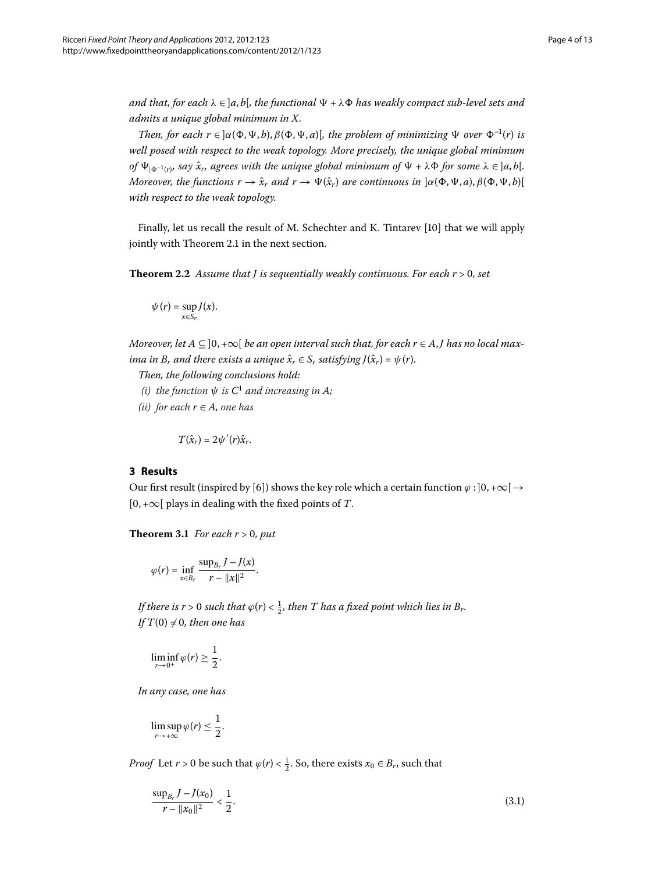*and that, for each*  $\lambda \in [a, b]$ *, the functional*  $\Psi + \lambda \Phi$  *has weakly compact sub-level sets and admits a unique global minimum in X.*

<span id="page-3-3"></span>*Then, for each r*  $\in$   $\alpha(\Phi, \Psi, b), \beta(\Phi, \Psi, a)$ , *the problem of minimizing*  $\Psi$  *over*  $\Phi^{-1}(r)$  *is well posed with respect to the weak topology. More precisely, the unique global minimum of*  $\Psi_{\vert \Phi^{-1}(r)}$ *, say*  $\hat{x}_r$ *, agrees with the unique global minimum of*  $\Psi + \lambda \Phi$  *for some*  $\lambda \in ]a, b[$ *. Moreover, the functions*  $r \to \hat{x}_r$  *and*  $r \to \Psi(\hat{x}_r)$  *are continuous in*  $\alpha(\Phi, \Psi, a), \beta(\Phi, \Psi, b)$ [ *with respect to the weak topology.*

Finally, let us recall the result of M. Schechter and K. Tintarev [\[](#page-12-6)10] that we will apply jointly with Theorem 2[.](#page-2-1)1 in the next section.

**Theorem 2.2** Assume that *J* is sequentially weakly continuous. For each  $r > 0$ , set

$$
\psi(r)=\sup_{x\in S_r}J(x).
$$

<span id="page-3-0"></span>*Moreover, let*  $A \subseteq ]0, +\infty[$  *be an open interval such that, for each r*  $\in$  *A*, *J* has no local max*ima in B<sub>r</sub> and there exists a unique*  $\hat{x}_r \in S_r$  *satisfying*  $J(\hat{x}_r) = \psi(r)$ *.* 

*Then, the following conclusions hold:*

*(i)* the function  $\psi$  is  $C^1$  and increasing in A;

<span id="page-3-2"></span>*(ii)* for each  $r \in A$ *, one has* 

$$
T(\hat{x}_r)=2\psi'(r)\hat{x}_r.
$$

# **3 Results**

Our first result (inspired by [6]) shows the key role which a certain function  $\varphi$  :  $]0, +\infty[$   $\rightarrow$  $[0, +\infty[$  plays in dealing with the fixed points of *T*.

**Theorem 3.1** *For each*  $r > 0$ *, put* 

$$
\varphi(r)=\inf_{x\in B_r}\frac{\sup_{B_r}J-J(x)}{r-\|x\|^2}.
$$

*If there is r* > 0 such that  $\varphi(r) < \frac{1}{2}$ , then T has a fixed point which lies in B<sub>r</sub>. If  $T(0) \neq 0$ , then one has

$$
\liminf_{r\to 0^+}\varphi(r)\geq \frac{1}{2}.
$$

*In any case, one has*

<span id="page-3-1"></span>
$$
\limsup_{r\to+\infty}\varphi(r)\leq\frac{1}{2}.
$$

*Proof* Let *r* > 0 be such that  $\varphi(r) < \frac{1}{2}$ . So, there exists  $x_0 \in B_r$ , such that

$$
\frac{\sup_{B_r} J - J(x_0)}{r - \|x_0\|^2} < \frac{1}{2}.\tag{3.1}
$$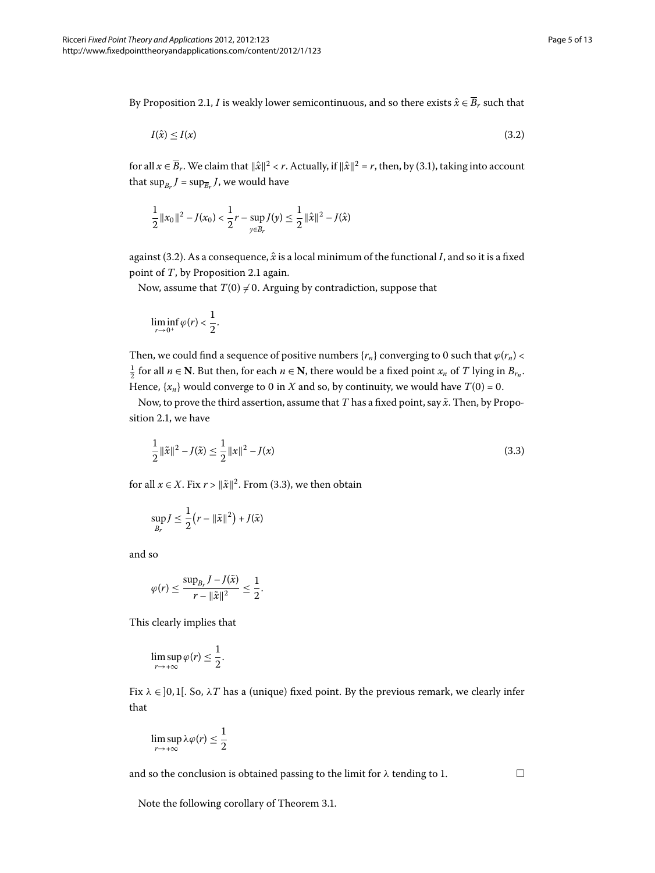By Proposition 2.1, *I* is weakly lower semicontinuous, and so there exists  $\hat{x} \in \overline{B}_r$  such that

<span id="page-4-0"></span>
$$
I(\hat{x}) \le I(x) \tag{3.2}
$$

for all  $x \in \overline{B}_r$ . We claim that  $\|\hat{x}\|^2 < r$ . Actually, if  $\|\hat{x}\|^2 = r$ , then, by (3.1), taking into account that  $\sup_{B_r} J = \sup_{\overline{B_r}} J$ , we would have

$$
\frac{1}{2}||x_0||^2 - J(x_0) < \frac{1}{2}r - \sup_{y \in \overline{B}_r} J(y) \le \frac{1}{2}||\hat{x}||^2 - J(\hat{x})
$$

against (3.2). As a consequence,  $\hat{x}$  is a local minimum of the functional *I*, and so it is a fixed point of *T*, by Proposition 2[.](#page-1-0)1 again.

Now, assume that  $T(0) \neq 0$ . Arguing by contradiction, suppose that

<span id="page-4-1"></span>
$$
\liminf_{r\to 0^+}\varphi(r)<\frac{1}{2}.
$$

Then, we could find a sequence of positive numbers  ${r_n}$  converging to 0 such that  $\varphi(r_n)$  <  $\frac{1}{2}$  for all *n* ∈ **N**. But then, for each *n* ∈ **N**, there would be a fixed point *x<sub>n</sub>* of *T* lying in *B*<sub>*r<sub>n</sub>*</sub>. Hence,  $\{x_n\}$  would converge to 0 in *X* and so, by continuity, we would have  $T(0) = 0$ .

Now, to prove the third assertion, assume that *T* has a fixed point, say  $\tilde{x}$ . Then, by Propo-sition 2[.](#page-1-0)1, we have

$$
\frac{1}{2} ||\tilde{x}||^2 - J(\tilde{x}) \le \frac{1}{2} ||x||^2 - J(x)
$$
\n(3.3)

for all  $x \in X$ [.](#page-4-1) Fix  $r > ||\tilde{x}||^2$ . From (3.3), we then obtain

$$
\sup_{B_r} J \leq \frac{1}{2} (r - \|\tilde{x}\|^2) + J(\tilde{x})
$$

and so

$$
\varphi(r) \leq \frac{\sup_{B_r} J - J(\tilde{x})}{r - \|\tilde{x}\|^2} \leq \frac{1}{2}.
$$

This clearly implies that

$$
\limsup_{r\to+\infty}\varphi(r)\leq\frac{1}{2}.
$$

Fix  $\lambda \in ]0,1[$ . So,  $\lambda T$  has a (unique) fixed point. By the previous remark, we clearly infer that

$$
\limsup_{r\to+\infty}\lambda\varphi(r)\leq\frac{1}{2}
$$

and so the conclusion is obtained passing to the limit for  $\lambda$  tending to 1.

 $\Box$ 

Note the following corollary of Theorem 3[.](#page-3-2)1.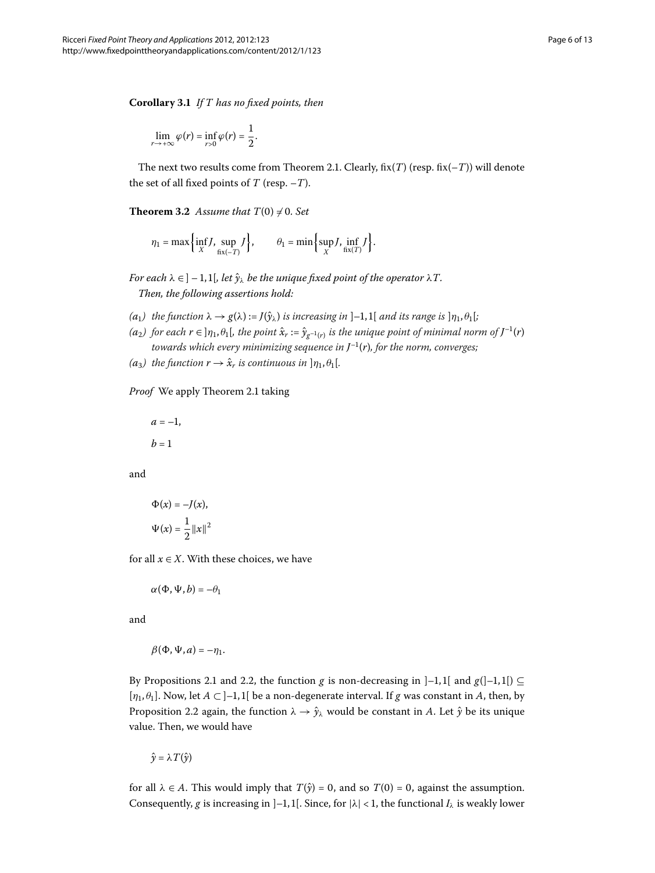<span id="page-5-0"></span>**Corollary .** *If T has no fixed points, then*

$$
\lim_{r\to+\infty}\varphi(r)=\inf_{r>0}\varphi(r)=\frac{1}{2}.
$$

The next two results come from Theorem 2.1. Clearly,  $fix(T)$  (resp.  $fix(-T)$ ) will denote the set of all fixed points of *T* (resp. –*T*).

**Theorem 3.2** Assume that  $T(0) \neq 0$ . Set

$$
\eta_1 = \max\left\{\inf_X J, \sup_{\text{fix}(-T)} J\right\}, \qquad \theta_1 = \min\left\{\sup_X J, \inf_{\text{fix}(T)} J\right\}.
$$

*For each*  $\lambda \in ]-1,1[$ , let  $\hat{y}_{\lambda}$  be the unique fixed point of the operator  $\lambda T$ . *Then, the following assertions hold:*

- $g(a_1)$  the function  $\lambda \to g(\lambda) := J(\hat{v}_\lambda)$  is increasing in  $[-1,1]$  and its range is  $[\eta_1, \theta_1]$ ;
- *(a*<sub>2</sub>) for each  $r \in ]\eta_1, \theta_1[$ , the point  $\hat{x}_r := \hat{y}_{g^{-1}(r)}$  is the unique point of minimal norm of  $J^{-1}(r)$ *towards which every minimizing sequence in*  $J^{-1}(r)$ *, for the norm, converges;*
- *(a*<sub>3</sub>*)* the function  $r \rightarrow \hat{x}_r$  *is continuous in*  $|\eta_1, \theta_1|$ *.*

#### *Proof* We apply Theorem 2[.](#page-2-1)1 taking

$$
a=-1,
$$

 $b = 1$ 

and

$$
\Phi(x) = -J(x),
$$
  

$$
\Psi(x) = \frac{1}{2} ||x||^2
$$

for all  $x \in X$ . With these choices, we have

$$
\alpha(\Phi,\Psi,b)=-\theta_1
$$

and

$$
\beta(\Phi,\Psi,a)=-\eta_1.
$$

By Propositions 2[.](#page-1-0)1 and 2.2, the function *g* is non-decreasing in  $]-1,1[$  and  $g([-1,1]) \subseteq$  $[\eta_1, \theta_1]$ . Now, let  $A \subset ]-1,1[$  be a non-degenerate interval. If *g* was constant in *A*, then, by Proposition 2[.](#page-2-0)2 again, the function  $\lambda \to \hat{y}_{\lambda}$  would be constant in *A*. Let  $\hat{y}$  be its unique value. Then, we would have

$$
\hat{y} = \lambda T(\hat{y})
$$

for all  $\lambda \in A$ . This would imply that  $T(\hat{y}) = 0$ , and so  $T(0) = 0$ , against the assumption. Consequently, *g* is increasing in  $]-1,1[$ . Since, for  $|\lambda| < 1$ , the functional  $I_\lambda$  is weakly lower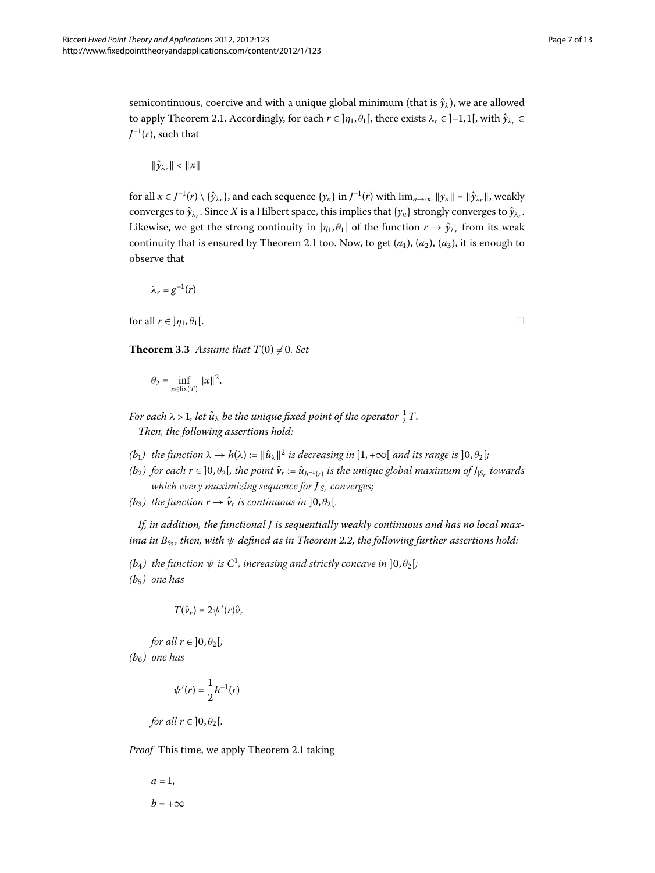semicontinuous, coercive and with a unique global minimum (that is  $\hat{y}_\lambda$ ), we are allowed to apply Theorem 2.1. Accordingly, for each  $r \in [\eta_1, \theta_1]$ , there exists  $\lambda_r \in [-1, 1]$ , with  $\hat{\gamma}_{\lambda_r} \in$  $J^{-1}(r)$ , such that

$$
\|\hat{y}_{\lambda_r}\| < \|x\|
$$

for all  $x \in J^{-1}(r) \setminus {\hat{y}}_{\lambda_r}$ , and each sequence  $\{y_n\}$  in  $J^{-1}(r)$  with  $\lim_{n\to\infty} ||y_n|| = ||\hat{y}_{\lambda_r}||$ , weakly converges to  $\hat{y}_{\lambda_r}$ . Since *X* is a Hilbert space, this implies that  $\{y_n\}$  strongly converges to  $\hat{y}_{\lambda_r}$ . Likewise, we get the strong continuity in  $]\eta_1, \theta_1[$  of the function  $r \to \hat{y}_{\lambda_r}$  from its weak continuity that is ensured by Theorem 2[.](#page-2-1)1 too. Now, to get  $(a_1)$ ,  $(a_2)$ ,  $(a_3)$ , it is enough to observe that

<span id="page-6-0"></span>
$$
\lambda_r=g^{-1}(r)
$$

for all  $r \in ]\eta_1, \theta_1[$ .

**Theorem 3.3** Assume that  $T(0) \neq 0$ . Set

$$
\theta_2 = \inf_{x \in \text{fix}(T)} \|x\|^2.
$$

*For each*  $\lambda$  *> 1, let*  $\hat{u}_{\lambda}$  *be the unique fixed point of the operator*  $\frac{1}{\lambda}T$ *. Then, the following assertions hold:*

- *(b<sub>1</sub>)* the function  $\lambda \to h(\lambda) := ||\hat{u}_{\lambda}||^2$  is decreasing in  $|1, +\infty|$  and its range is  $|0, \theta_2|$ ;
- *(b*<sub>2</sub>*)* for each  $r \in ]0, \theta_2[$ , the point  $\hat{v}_r := \hat{u}_{h^{-1}(r)}$  is the unique global maximum of  $J_{|S_r}$  towards *which every maximizing sequence for J*|*Sr converges;*
- *(b*<sub>3</sub>*)* the function  $r \rightarrow \hat{v}_r$  *is continuous in*  $]0, \theta_2[$ *.*

*If, in addition, the functional J is sequentially weakly continuous and has no local maxima in*  $B_{\theta}$ *, then, with*  $\psi$  *defined as in Theorem 2.2, the following further assertions hold:* 

 $(b_4)$  the function  $\psi$  is  $C^1$ , increasing and strictly concave in  $]0,\theta_2[$ ; *(b) one has*

$$
T(\hat{\nu}_r)=2\psi'(r)\hat{\nu}_r
$$

*for all*  $r \in [0, \theta_2]$ ; *(b) one has*

$$
\psi'(r)=\frac{1}{2}h^{-1}(r)
$$

*for all*  $r \in ]0, \theta_2[$ .

*Proof* This time, we apply Theorem 2[.](#page-2-1)1 taking

$$
a = 1,
$$
  

$$
b = +\infty
$$

 $\Box$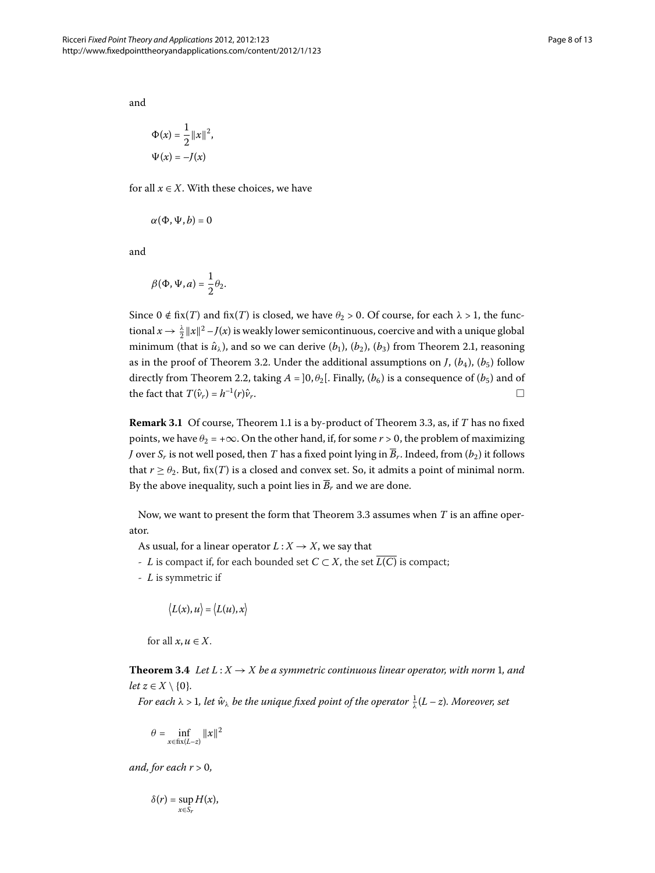and

$$
\Phi(x) = \frac{1}{2} ||x||^2,
$$
  

$$
\Psi(x) = -J(x)
$$

for all  $x \in X$ . With these choices, we have

$$
\alpha(\Phi,\Psi,b)=0
$$

and

$$
\beta(\Phi,\Psi,a)=\frac{1}{2}\theta_2.
$$

Since  $0 \notin$  fix(*T*) and fix(*T*) is closed, we have  $\theta_2 > 0$ . Of course, for each  $\lambda > 1$ , the functional  $x \to \frac{\lambda}{2} \|x\|^2 - J(x)$  is weakly lower semicontinuous, coercive and with a unique global minimum (that is  $\hat{u}_{\lambda}$ ), and so we can derive ( $b_1$ ), ( $b_2$ ), ( $b_3$ ) from Theorem 2[.](#page-2-1)1, reasoning as in the proof of Theorem 3.2. Under the additional assumptions on *J*,  $(b_4)$ ,  $(b_5)$  follow directly from Theorem 2.2, taking  $A = ]0, \theta_2[$ . Finally,  $(b_6)$  is a consequence of  $(b_5)$  and of the fact that  $T(\hat{v}_r) = h^{-1}(r)\hat{v}_r$ .

**Remark 3[.](#page-1-1)1** Of course, Theorem 1.1 is a by-product of Theorem 3.3, as, if *T* has no fixed points, we have  $\theta_2 = +\infty$ . On the other hand, if, for some  $r > 0$ , the problem of maximizing *J* over *S<sub>r</sub>* is not well posed, then *T* has a fixed point lying in  $\overline{B}_r$ . Indeed, from  $(b_2)$  it follows that  $r \ge \theta_2$ . But, fix(*T*) is a closed and convex set. So, it admits a point of minimal norm. By the above inequality, such a point lies in  $\overline{B_r}$  and we are done.

Now, we want to present the form that Theorem 3[.](#page-6-0)3 assumes when  $T$  is an affine operator.

As usual, for a linear operator  $L: X \rightarrow X$ , we say that

- *- L* is compact if, for each bounded set  $C$  ⊂  $X$ , the set  $\overline{L(C)}$  is compact;
- <span id="page-7-0"></span>- *L* is symmetric if

$$
\langle L(x),u\rangle=\langle L(u),x\rangle
$$

for all  $x, u \in X$ .

**Theorem 3.4** Let  $L: X \rightarrow X$  be a symmetric continuous linear operator, with norm 1, and *let*  $z \in X \setminus \{0\}$ *.* 

*For each*  $\lambda > 1$ *, let*  $\hat{w}_{\lambda}$  *be the unique fixed point of the operator*  $\frac{1}{\lambda}(L-z)$ *. Moreover, set* 

$$
\theta = \inf_{x \in \text{fix}(L-z)} \|x\|^2
$$

*and, for each*  $r > 0$ *,* 

$$
\delta(r)=\sup_{x\in S_r}H(x),
$$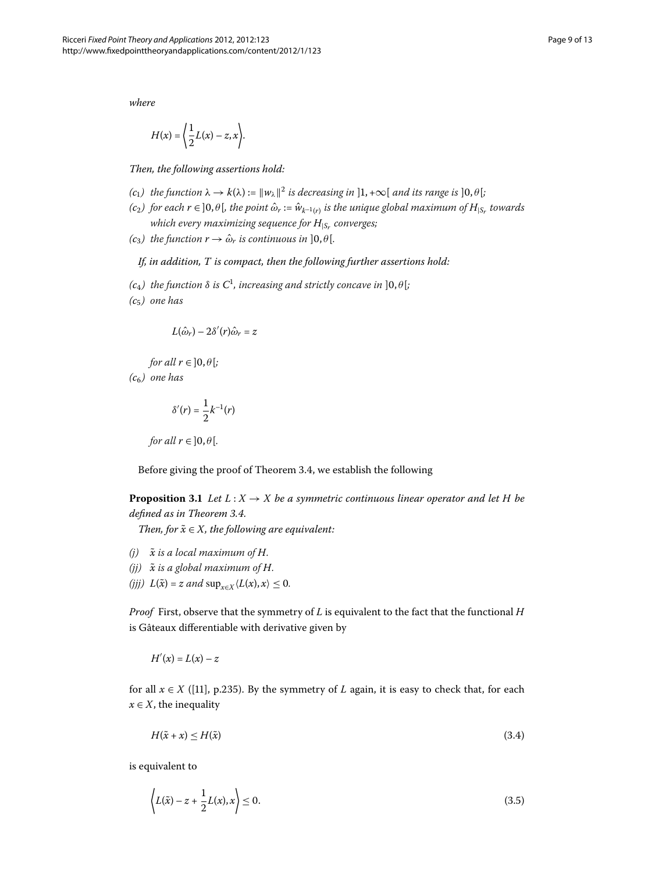*where*

$$
H(x) = \left\langle \frac{1}{2}L(x) - z, x \right\rangle.
$$

*Then, the following assertions hold:*

- *(c<sub>1</sub>)* the function  $\lambda \to k(\lambda) := ||w_{\lambda}||^2$  is decreasing in  $]1, +\infty[$  and its range is  $]0, \theta[$ ;
- $(c_2)$  *for each*  $r \in ]0, \theta[$ *, the point*  $\hat{\omega}_r := \hat{w}_{k-1(r)}$  *is the unique global maximum of*  $H_{|S_r}$  *towards which every maximizing sequence for H*|*Sr converges;*
- *(c<sub>3</sub>) the function*  $r \rightarrow \hat{\omega}_r$  *is continuous in*  $]0, \theta[$ *.*

### *If, in addition, T is compact, then the following further assertions hold:*

- $(c_4)$  the function  $\delta$  is  $C^1$ , increasing and strictly concave in  $]0,\theta[;$
- *(c) one has*

$$
L(\hat{\omega}_r) - 2\delta'(r)\hat{\omega}_r = z
$$

*for all*  $r \in ]0, \theta[$ ;

<span id="page-8-2"></span>*(c) one has*

$$
\delta'(r) = \frac{1}{2}k^{-1}(r)
$$

*for all*  $r \in ]0, \theta[$ *.* 

Before giving the proof of Theorem 3[.](#page-7-0)4, we establish the following

**Proposition 3.1** Let  $L: X \to X$  be a symmetric continuous linear operator and let H be *defined as in Theorem 3.4.* 

*Then, for*  $\tilde{x} \in X$ *, the following are equivalent:* 

- $(i)$   $\tilde{x}$  *is a local maximum of H.*
- $(jj)$   $\tilde{x}$  *is a global maximum of H.*
- $(fjj) L(\tilde{x}) = z$  and  $\sup_{x \in X} \langle L(x), x \rangle \leq 0.$

*Proof* First, observe that the symmetry of *L* is equivalent to the fact that the functional *H* is Gâteaux differentiable with derivative given by

<span id="page-8-0"></span>
$$
H'(x) = L(x) - z
$$

for all  $x \in X$  ([11], p.235). By the symmetry of *L* again, it is easy to check that, for each  $x \in X$ , the inequality

<span id="page-8-1"></span>
$$
H(\tilde{x} + x) \le H(\tilde{x})\tag{3.4}
$$

is equivalent to

$$
\left\langle L(\tilde{x}) - z + \frac{1}{2}L(x), x \right\rangle \le 0.
$$
\n(3.5)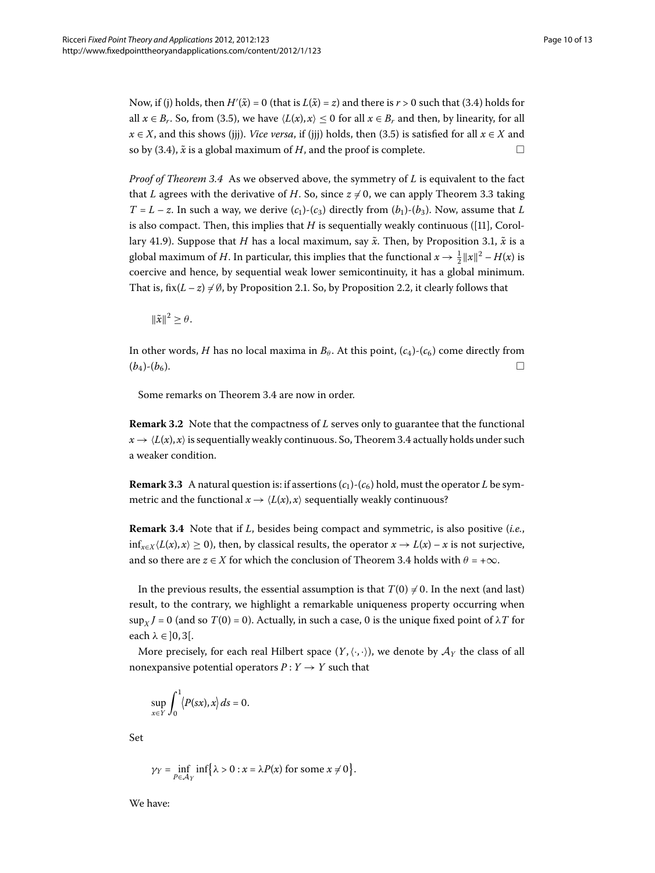Now, if (j) holds, then  $H'(\tilde{x}) = 0$  (that is  $L(\tilde{x}) = z$ ) and there is  $r > 0$  such that (3.4) holds for all  $x \in B_r$ . So, from (3.5), we have  $\langle L(x), x \rangle \leq 0$  for all  $x \in B_r$  and then, by linearity, for all  $x \in X$ , and this shows (jjj)[.](#page-8-1) *Vice versa*, if (jjj) holds, then (3.5) is satisfied for all  $x \in X$  and so by (3[.](#page-8-0)4),  $\tilde{x}$  is a global maximum of *H*, and the proof is complete.  $\Box$ 

*Proof of Theorem* 3[.](#page-7-0)4 As we observed above, the symmetry of *L* is equivalent to the fact that *L* agrees with the derivative of *H*[.](#page-6-0) So, since  $z \neq 0$ , we can apply Theorem 3.3 taking  $T = L - z$ . In such a way, we derive  $(c_1)$ - $(c_3)$  directly from  $(b_1)$ - $(b_3)$ . Now, assume that *L* is also compact. Then, this implies that  $H$  is sequentially weakly continuous ([11], Corol-lary 41[.](#page-8-2)9). Suppose that *H* has a local maximum, say  $\tilde{x}$ . Then, by Proposition 3.1,  $\tilde{x}$  is a global maximum of *H*. In particular, this implies that the functional  $x \to \frac{1}{2} ||x||^2 - H(x)$  is coercive and hence, by sequential weak lower semicontinuity, it has a global minimum. That is, fix( $L - z$ )  $\neq \emptyset$ , by Proposition 2[.](#page-2-0)1. So, by Proposition 2.2, it clearly follows that

 $\|\tilde{x}\|^2 > \theta$ .

In other words, *H* has no local maxima in  $B_\theta$ . At this point,  $(c_4)$ - $(c_6)$  come directly from  $(b_4)-(b_6).$ 

Some remarks on Theorem 3[.](#page-7-0)4 are now in order.

**Remark 3.2** Note that the compactness of *L* serves only to guarantee that the functional  $x \to \langle L(x), x \rangle$  is sequentially weakly continuous[.](#page-7-0) So, Theorem 3.4 actually holds under such a weaker condition.

**Remark 3.3** A natural question is: if assertions  $(c_1)$ - $(c_6)$  hold, must the operator *L* be symmetric and the functional  $x \to \langle L(x), x \rangle$  sequentially weakly continuous?

**Remark 3.4** Note that if *L*, besides being compact and symmetric, is also positive (*i.e.*,  $\inf_{x \in X}$   $\langle L(x), x \rangle$  ≥ 0), then, by classical results, the operator  $x \to L(x) - x$  is not surjective, and so there are  $z \in X$  for which the conclusion of Theorem 3[.](#page-7-0)4 holds with  $\theta = +\infty$ .

In the previous results, the essential assumption is that  $T(0) \neq 0$ . In the next (and last) result, to the contrary, we highlight a remarkable uniqueness property occurring when  $\sup_{X}$  *J* = 0 (and so *T*(0) = 0). Actually, in such a case, 0 is the unique fixed point of  $\lambda T$  for each  $\lambda \in ]0,3[$ .

More precisely, for each real Hilbert space  $(Y,\langle\cdot,\cdot\rangle)$ , we denote by  $\mathcal{A}_Y$  the class of all nonexpansive potential operators  $P: Y \rightarrow Y$  such that

$$
\sup_{x \in Y} \int_0^1 \langle P(sx), x \rangle ds = 0.
$$

Set

$$
\gamma_Y = \inf_{P \in \mathcal{A}_Y} \inf \{ \lambda > 0 : x = \lambda P(x) \text{ for some } x \neq 0 \}.
$$

We have: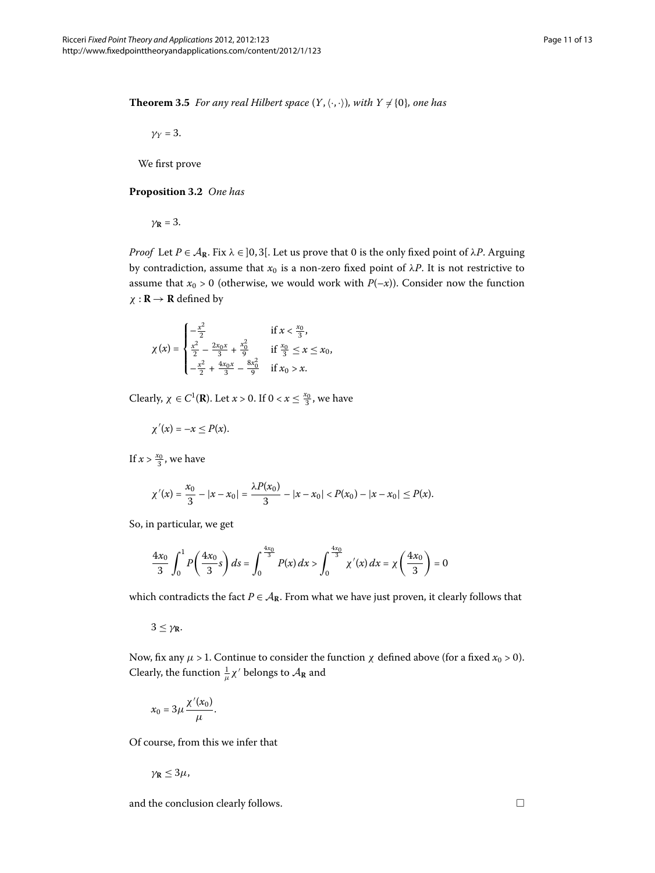<span id="page-10-1"></span><span id="page-10-0"></span>**Theorem 3.5** For any real Hilbert space  $(Y, \langle \cdot, \cdot \rangle)$ , with  $Y \neq \{0\}$ , one has

 $\gamma_Y = 3$ .

We first prove

#### **Proposition 3.2** One has

 $\gamma$ **R** = 3.

*Proof* Let  $P \in A_R$ . Fix  $\lambda \in ]0,3[$ . Let us prove that 0 is the only fixed point of  $\lambda P$ . Arguing by contradiction, assume that  $x_0$  is a non-zero fixed point of  $\lambda P$ . It is not restrictive to assume that  $x_0 > 0$  (otherwise, we would work with  $P(-x)$ ). Consider now the function  $\chi$  **: R**  $\rightarrow$  **R** defined by

$$
\chi(x) = \begin{cases}\n-\frac{x^2}{2} & \text{if } x < \frac{x_0}{3}, \\
\frac{x^2}{2} - \frac{2x_0x}{3} + \frac{x_0^2}{9} & \text{if } \frac{x_0}{3} \le x \le x_0, \\
-\frac{x^2}{2} + \frac{4x_0x}{3} - \frac{8x_0^2}{9} & \text{if } x_0 > x.\n\end{cases}
$$

Clearly,  $\chi \in C^1(\mathbf{R})$ . Let  $x > 0$ . If  $0 < x \leq \frac{x_0}{3}$ , we have

$$
\chi'(x) = -x \le P(x).
$$

If  $x > \frac{x_0}{3}$ , we have

$$
\chi'(x) = \frac{x_0}{3} - |x - x_0| = \frac{\lambda P(x_0)}{3} - |x - x_0| < P(x_0) - |x - x_0| \le P(x).
$$

So, in particular, we get

$$
\frac{4x_0}{3}\int_0^1 P\left(\frac{4x_0}{3}s\right)ds = \int_0^{\frac{4x_0}{3}} P(x) dx > \int_0^{\frac{4x_0}{3}} \chi'(x) dx = \chi\left(\frac{4x_0}{3}\right) = 0
$$

which contradicts the fact  $P \in A_{\mathbb{R}}$ . From what we have just proven, it clearly follows that

 $3 \leq \gamma_{\mathbf{R}}$ .

Now, fix any  $\mu > 1$ . Continue to consider the function  $\chi$  defined above (for a fixed  $x_0 > 0$ ). Clearly, the function  $\frac{1}{\mu} \chi'$  belongs to  $\mathcal{A}_{\mathbf{R}}$  and

$$
x_0=3\mu\frac{\chi'(x_0)}{\mu}.
$$

Of course, from this we infer that

$$
\gamma_{\mathbf{R}}\leq 3\mu,
$$

and the conclusion clearly follows.  $\hfill \square$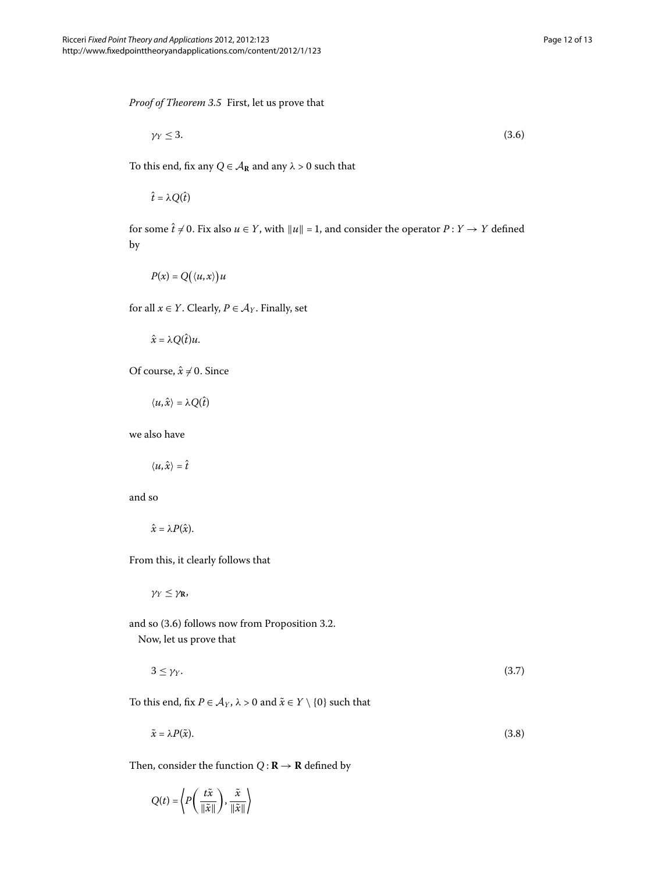*Proof of Theorem 3[.](#page-10-0)5* First, let us prove that

<span id="page-11-0"></span>
$$
\gamma_Y \leq 3. \tag{3.6}
$$

To this end, fix any  $Q \in \mathcal{A}_{\mathbb{R}}$  and any  $\lambda > 0$  such that

 $\hat{t} = \lambda Q(\hat{t})$ 

for some  $\hat{t} \neq 0$ . Fix also  $u \in Y$ , with  $||u|| = 1$ , and consider the operator  $P: Y \to Y$  defined by

$$
P(x) = Q\big(\langle u, x \rangle\big)u
$$

for all  $x \in Y$ . Clearly,  $P \in \mathcal{A}_Y$ . Finally, set

 $\hat{x} = \lambda Q(\hat{t})u$ .

Of course,  $\hat{x} \neq 0$ . Since

$$
\langle u,\hat{x}\rangle = \lambda Q(\hat{t})
$$

we also have

$$
\langle u,\hat{x}\rangle=\hat{t}
$$

and so

$$
\hat{x}=\lambda P(\hat{x}).
$$

From this, it clearly follows that

<span id="page-11-2"></span><span id="page-11-1"></span>*γ<sup>Y</sup>* ≤ *γ***R**,

and so  $(3.6)$  $(3.6)$  $(3.6)$  follows now from Proposition 3.2. Now, let us prove that

 $3 \leq \gamma_Y$ . (3.7)

To this end, fix  $P \in A_Y$ ,  $\lambda > 0$  and  $\tilde{x} \in Y \setminus \{0\}$  such that

$$
\tilde{x} = \lambda P(\tilde{x}).\tag{3.8}
$$

Then, consider the function  $Q : \mathbf{R} \to \mathbf{R}$  defined by

 $Q(t) = \left\langle P\right| \frac{t\tilde{x}}{\sqrt{2\pi}}$  $\|\tilde{x}\|$  $\Big), \frac{\tilde{x}}{\sqrt{2}}$  $\|\tilde{x}\|$ \